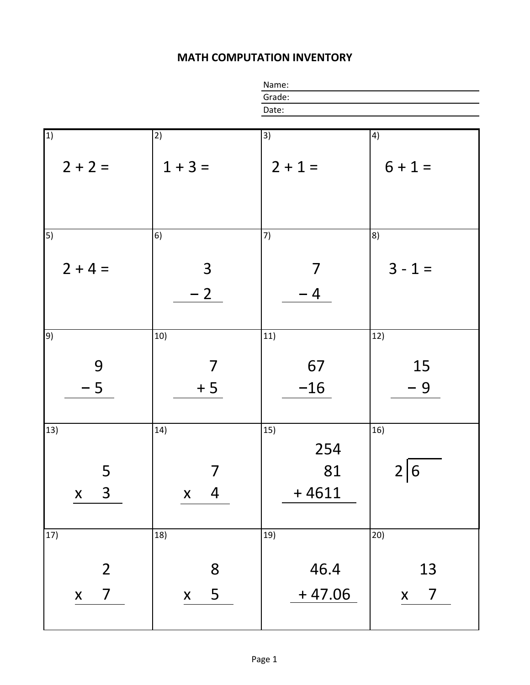## **MATH COMPUTATION INVENTORY**

|                                                    | Name:                                        |                             |                                      |
|----------------------------------------------------|----------------------------------------------|-----------------------------|--------------------------------------|
|                                                    |                                              | Grade:                      |                                      |
|                                                    |                                              | Date:                       |                                      |
|                                                    |                                              |                             |                                      |
| $\vert$ 1)                                         | 2)                                           | 3)                          | 4)                                   |
| $2 + 2 =$                                          | $1 + 3 =$                                    | $2 + 1 =$                   | $6 + 1 =$                            |
| $\overline{5)}$<br>$2 + 4 =$                       | 6)<br>$\mathsf{3}$                           | 7)<br>7                     | 8)<br>$3 - 1 =$                      |
|                                                    | $-2$                                         | $-4$                        |                                      |
| 9)                                                 | 10)                                          | 11)                         | 12)                                  |
| 9<br>$-5$                                          | 7<br>$+5$                                    | 67<br>$-16$                 | 15<br>$-9$                           |
| 13)<br>5<br>$\overline{3}$<br>$\mathsf{X}$         | 14)<br>7<br>$\overline{a}$<br>$\mathsf{X}^-$ | 15)<br>254<br>81<br>$+4611$ | 16)<br>2 6                           |
| 17)                                                | 18)                                          | 19)                         | 20)                                  |
| $\overline{2}$<br>$\overline{7}$<br>$\mathsf{X}^-$ | 8<br>5<br>$\mathsf{X}$                       | 46.4<br>$+47.06$            | 13<br>$\overline{7}$<br>$\mathsf{X}$ |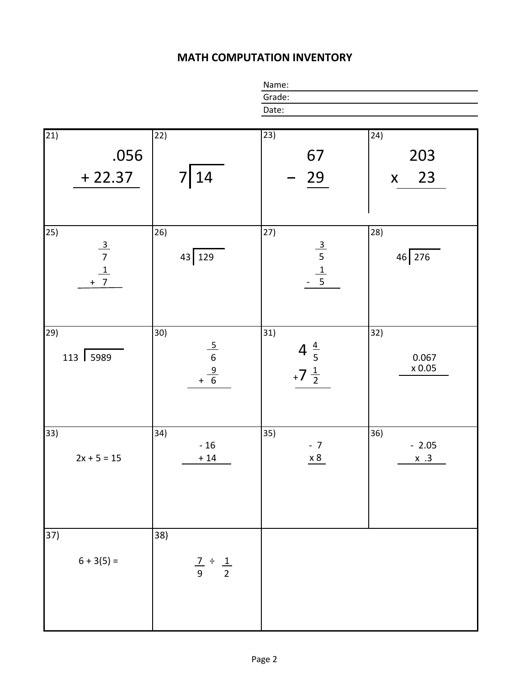## **MATH COMPUTATION INVENTORY**

|                                                                                       |                                 | Name:                              |                      |
|---------------------------------------------------------------------------------------|---------------------------------|------------------------------------|----------------------|
|                                                                                       |                                 | Grade:<br>Date:                    |                      |
|                                                                                       |                                 |                                    |                      |
|                                                                                       |                                 |                                    |                      |
| $\overline{21}$                                                                       | 22)                             | 23)                                | 24)                  |
| .056                                                                                  |                                 | 67                                 | 203                  |
|                                                                                       |                                 |                                    |                      |
| $+22.37$                                                                              | 14                              | 29                                 | 23<br>$\mathsf{X}^-$ |
|                                                                                       |                                 |                                    |                      |
|                                                                                       |                                 |                                    |                      |
|                                                                                       |                                 |                                    |                      |
| 25)                                                                                   | 26)                             | 27)                                | 28)                  |
|                                                                                       | 43 129                          |                                    | $46 \overline{276}$  |
| $\begin{array}{r} \underline{3} \\ 7 \\ \underline{1} \\ + \underline{7} \end{array}$ |                                 | $\frac{3}{5}$ $\frac{1}{5}$        |                      |
|                                                                                       |                                 |                                    |                      |
|                                                                                       |                                 |                                    |                      |
|                                                                                       |                                 |                                    |                      |
|                                                                                       |                                 |                                    |                      |
| 29)                                                                                   | 30)                             | 31)                                | 32)                  |
| 113 5989                                                                              |                                 |                                    | 0.067                |
|                                                                                       | $\frac{5}{6}$<br>$+\frac{9}{6}$ | $4\frac{4}{5}$<br>+7 $\frac{1}{2}$ | $\times$ 0.05        |
|                                                                                       |                                 |                                    |                      |
|                                                                                       |                                 |                                    |                      |
|                                                                                       |                                 |                                    |                      |
|                                                                                       |                                 |                                    |                      |
| 33)                                                                                   | (34)<br>$-16$                   | 35)<br>$-7$                        | 36)<br>$-2.05$       |
| $2x + 5 = 15$                                                                         | $+14$                           | $\underline{x8}$                   | $x \cdot 3$          |
|                                                                                       |                                 |                                    |                      |
|                                                                                       |                                 |                                    |                      |
|                                                                                       |                                 |                                    |                      |
|                                                                                       |                                 |                                    |                      |
|                                                                                       |                                 |                                    |                      |
| 37)                                                                                   | 38)                             |                                    |                      |
|                                                                                       |                                 |                                    |                      |
| $6 + 3(5) =$                                                                          | $rac{7}{9} \div \frac{1}{2}$    |                                    |                      |
|                                                                                       |                                 |                                    |                      |
|                                                                                       |                                 |                                    |                      |
|                                                                                       |                                 |                                    |                      |
|                                                                                       |                                 |                                    |                      |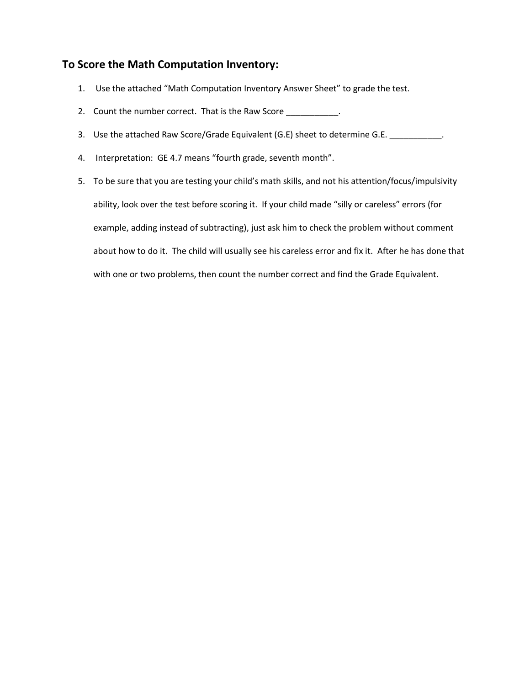## **To Score the Math Computation Inventory:**

- 1. Use the attached "Math Computation Inventory Answer Sheet" to grade the test.
- 2. Count the number correct. That is the Raw Score \_\_\_\_\_\_\_\_\_\_\_\_.
- 3. Use the attached Raw Score/Grade Equivalent (G.E) sheet to determine G.E. \_\_\_\_\_\_\_\_\_\_.
- 4. Interpretation: GE 4.7 means "fourth grade, seventh month".
- 5. To be sure that you are testing your child's math skills, and not his attention/focus/impulsivity ability, look over the test before scoring it. If your child made "silly or careless" errors (for example, adding instead of subtracting), just ask him to check the problem without comment about how to do it. The child will usually see his careless error and fix it. After he has done that with one or two problems, then count the number correct and find the Grade Equivalent.